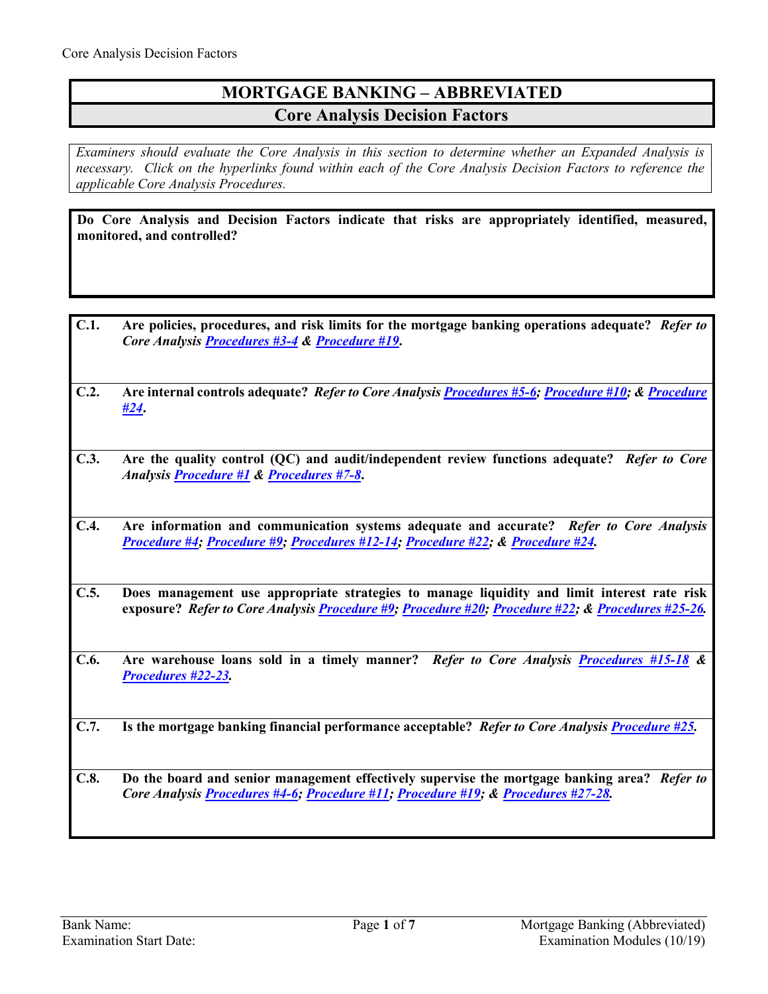# **MORTGAGE BANKING – ABBREVIATED Core Analysis Decision Factors**

*Examiners should evaluate the Core Analysis in this section to determine whether an Expanded Analysis is necessary. Click on the hyperlinks found within each of the Core Analysis Decision Factors to reference the applicable Core Analysis Procedures.*

**Do Core Analysis and Decision Factors indicate that risks are appropriately identified, measured, monitored, and controlled?**

- **C.1. Are policies, procedures, and risk limits for the mortgage banking operations adequate?** *Refer to Core Analysis [Procedures #3-4](#page-2-0) & [Procedure #19](#page-5-0)***.**
- **C.2. Are internal controls adequate?** *Refer to Core Analysis [Procedures #5-6;](#page-2-1) [Procedure #10;](#page-3-0) [& Procedure](#page-5-1)  [#24](#page-5-1)***.**
- **C.3. Are the quality control (QC) and audit/independent review functions adequate?** *Refer to Core Analysi[s Procedure #1](#page-1-0) & [Procedures #7-8](#page-2-2)***.**
- **C.4. Are information and communication systems adequate and accurate?** *Refer to Core Analysis [Procedure #4;](#page-2-3) [Procedure #9;](#page-3-1) [Procedures #12-14;](#page-3-2) [Procedure #22;](#page-5-2) & [Procedure #24.](#page-5-1)*
- **C.5. Does management use appropriate strategies to manage liquidity and limit interest rate risk exposure?** *Refer to Core Analysis [Procedure #9;](#page-3-1) [Procedure #20;](#page-5-3) [Procedure #22;](#page-5-2) & [Procedures #25-26.](#page-5-4)*
- **C.6. Are warehouse loans sold in a timely manner?** *Refer to Core Analysis [Procedures #15-18](#page-4-0) & [Procedures #22-23.](#page-5-2)*
- **C.7. Is the mortgage banking financial performance acceptable?** *Refer to Core Analysis [Procedure #25.](#page-5-4)*
- **C.8. Do the board and senior management effectively supervise the mortgage banking area?** *Refer to Core Analysis [Procedures #4-6;](#page-2-3) [Procedure #11;](#page-3-3) [Procedure #19;](#page-5-0) & [Procedures #27-28.](#page-6-0)*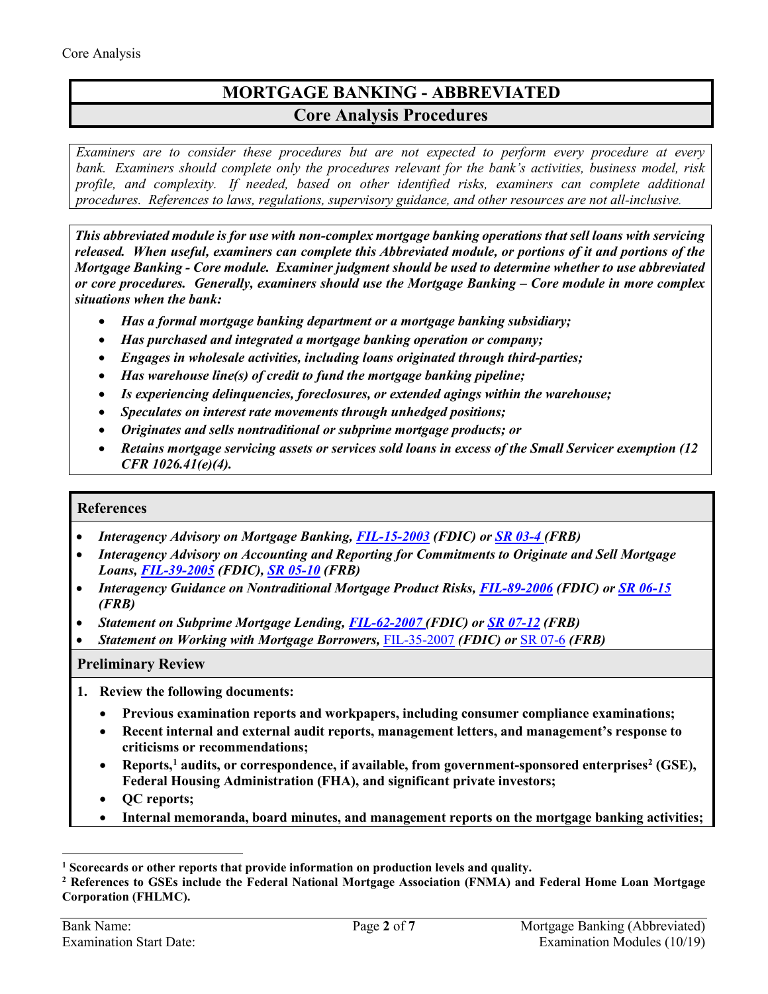# **MORTGAGE BANKING - ABBREVIATED Core Analysis Procedures**

*Examiners are to consider these procedures but are not expected to perform every procedure at every bank. Examiners should complete only the procedures relevant for the bank's activities, business model, risk profile, and complexity. If needed, based on other identified risks, examiners can complete additional procedures. References to laws, regulations, supervisory guidance, and other resources are not all-inclusive.*

*This abbreviated module is for use with non-complex mortgage banking operations that sell loans with servicing released. When useful, examiners can complete this Abbreviated module, or portions of it and portions of the Mortgage Banking - Core module. Examiner judgment should be used to determine whether to use abbreviated or core procedures. Generally, examiners should use the Mortgage Banking – Core module in more complex situations when the bank:*

- *Has a formal mortgage banking department or a mortgage banking subsidiary;*
- *Has purchased and integrated a mortgage banking operation or company;*
- *Engages in wholesale activities, including loans originated through third-parties;*
- *Has warehouse line(s) of credit to fund the mortgage banking pipeline;*
- *Is experiencing delinquencies, foreclosures, or extended agings within the warehouse;*
- *Speculates on interest rate movements through unhedged positions;*
- *Originates and sells nontraditional or subprime mortgage products; or*
- *Retains mortgage servicing assets or services sold loans in excess of the Small Servicer exemption (12 CFR 1026.41(e)(4).*

## **References**

- *[Interagency Advisory on Mortgage Banking,](http://www.fdic.gov/news/news/press/2003/PR1403a.html) [FIL-15-2003](https://www.fdic.gov/news/news/financial/2003/fil0315.html) (FDIC) or [SR 03-4](https://www.federalreserve.gov/boarddocs/srletters/2003/sr0304.htm) (FRB)*
- *[Interagency Advisory on Accounting and Reporting for Commitments to Originate and Sell Mortgage](http://www.fdic.gov/news/news/financial/2005/fil3905_toc.html)  [Loans,](http://www.fdic.gov/news/news/financial/2005/fil3905_toc.html) [FIL-39-2005](https://www.fdic.gov/news/news/financial/2005/fil3905.html) (FDIC), [SR 05-10](https://www.federalreserve.gov/boarddocs/srletters/2005/SR0510.htm) (FRB)*
- *Interagency Guidance on Nontraditional Mortgage Product Risks, [FIL-89-2006](https://www.fdic.gov/news/news/financial/2006/fil06089.html) (FDIC) or [SR 06-15](https://www.federalreserve.gov/boarddocs/srletters/2006/SR0615.htm) (FRB)*
- *[Statement on Subprime Mortgage Lending,](http://www.federalreserve.gov/newsevents/press/bcreg/bcreg20070629a1.pdf) [FIL-62-2007](https://www.fdic.gov/news/news/financial/2007/fil07062.html) (FDIC) or [SR 07-12](https://www.federalreserve.gov/boarddocs/srletters/2007/SR0712.htm) (FRB)*
- *[Statement on Working with Mortgage Borrowers,](http://www.federalreserve.gov/boarddocs/srletters/2007/SR0706a1.pdf)* [FIL-35-2007](https://www.fdic.gov/news/news/financial/2007/fil07035.html) *(FDIC) or* [SR 07-6](https://www.federalreserve.gov/boarddocs/srletters/2007/SR0706.htm) *(FRB)*

#### **Preliminary Review**

- <span id="page-1-0"></span>**1. Review the following documents:** 
	- **Previous examination reports and workpapers, including consumer compliance examinations;**
	- **Recent internal and external audit reports, management letters, and management's response to criticisms or recommendations;**
	- Reports,<sup>[1](#page-1-1)</sup> audits, or correspondence, if available, from government-sponsored enterprises<sup>[2](#page-1-2)</sup> (GSE), **Federal Housing Administration (FHA), and significant private investors;**
	- **QC reports;**
	- **Internal memoranda, board minutes, and management reports on the mortgage banking activities;**

 $\overline{a}$ 

<span id="page-1-1"></span>**<sup>1</sup> Scorecards or other reports that provide information on production levels and quality.**

<span id="page-1-2"></span>**<sup>2</sup> References to GSEs include the Federal National Mortgage Association (FNMA) and Federal Home Loan Mortgage Corporation (FHLMC).**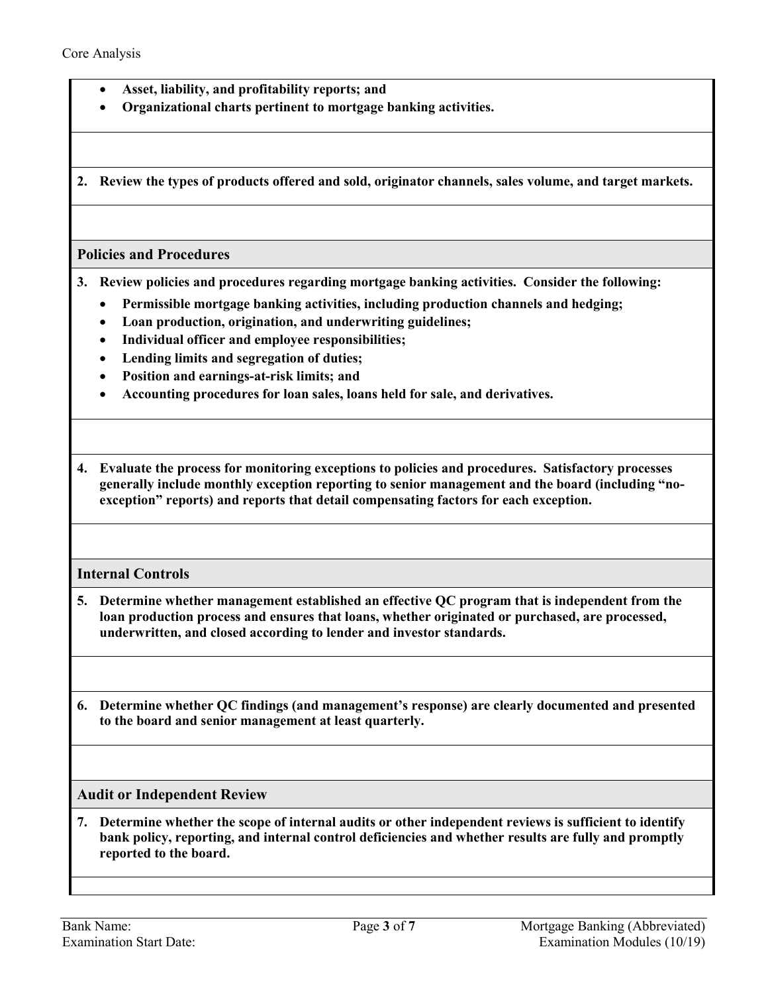- **Asset, liability, and profitability reports; and**
- **Organizational charts pertinent to mortgage banking activities.**

**2. Review the types of products offered and sold, originator channels, sales volume, and target markets.**

#### **Policies and Procedures**

- <span id="page-2-0"></span>**3. Review policies and procedures regarding mortgage banking activities. Consider the following:**
	- **Permissible mortgage banking activities, including production channels and hedging;**
	- **Loan production, origination, and underwriting guidelines;**
	- **Individual officer and employee responsibilities;**
	- **Lending limits and segregation of duties;**
	- **Position and earnings-at-risk limits; and**
	- **Accounting procedures for loan sales, loans held for sale, and derivatives.**

<span id="page-2-3"></span>**4. Evaluate the process for monitoring exceptions to policies and procedures. Satisfactory processes generally include monthly exception reporting to senior management and the board (including "noexception" reports) and reports that detail compensating factors for each exception.**

## **Internal Controls**

<span id="page-2-1"></span>**5. Determine whether management established an effective QC program that is independent from the loan production process and ensures that loans, whether originated or purchased, are processed, underwritten, and closed according to lender and investor standards.**

**6. Determine whether QC findings (and management's response) are clearly documented and presented to the board and senior management at least quarterly.** 

#### **Audit or Independent Review**

<span id="page-2-2"></span>**7. Determine whether the scope of internal audits or other independent reviews is sufficient to identify bank policy, reporting, and internal control deficiencies and whether results are fully and promptly reported to the board.**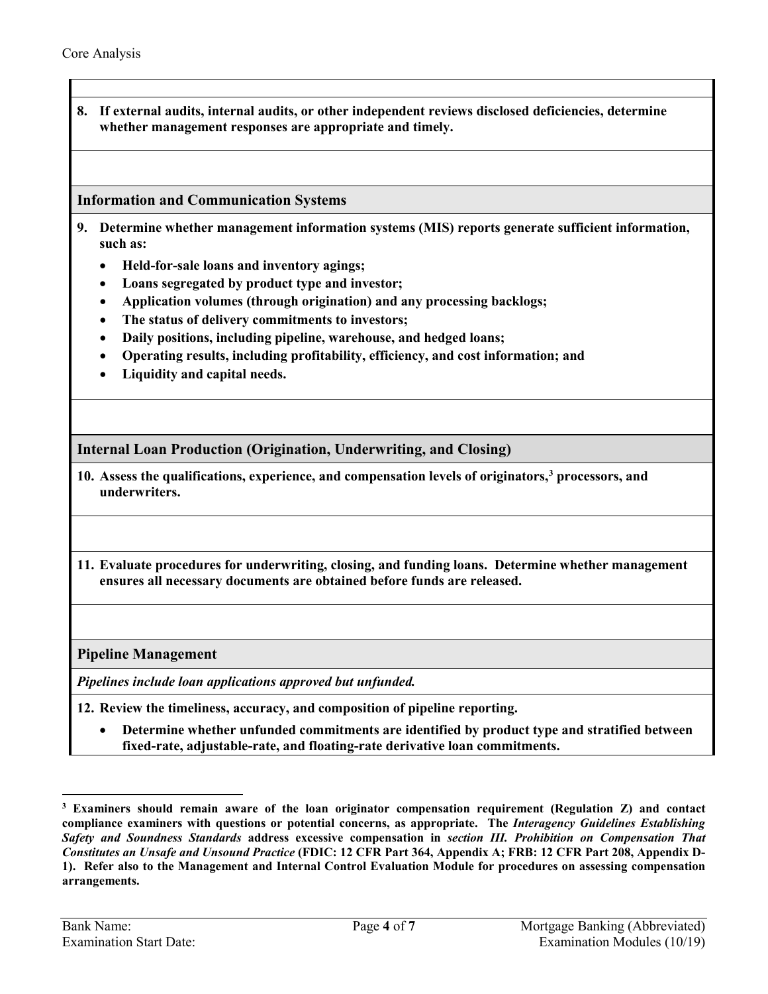**8. If external audits, internal audits, or other independent reviews disclosed deficiencies, determine whether management responses are appropriate and timely.** 

## **Information and Communication Systems**

- <span id="page-3-1"></span>**9. Determine whether management information systems (MIS) reports generate sufficient information, such as:** 
	- **Held-for-sale loans and inventory agings;**
	- **Loans segregated by product type and investor;**
	- **Application volumes (through origination) and any processing backlogs;**
	- **The status of delivery commitments to investors;**
	- **Daily positions, including pipeline, warehouse, and hedged loans;**
	- **Operating results, including profitability, efficiency, and cost information; and**
	- **Liquidity and capital needs.**

**Internal Loan Production (Origination, Underwriting, and Closing)** 

- <span id="page-3-0"></span>**10. Assess the qualifications, experience, and compensation levels of originators, [3](#page-3-4) processors, and underwriters.**
- <span id="page-3-3"></span>**11. Evaluate procedures for underwriting, closing, and funding loans. Determine whether management ensures all necessary documents are obtained before funds are released.**

**Pipeline Management**

*Pipelines include loan applications approved but unfunded.* 

- <span id="page-3-2"></span>**12. Review the timeliness, accuracy, and composition of pipeline reporting.**
	- **Determine whether unfunded commitments are identified by product type and stratified between fixed-rate, adjustable-rate, and floating-rate derivative loan commitments.**

 $\overline{a}$ 

<span id="page-3-4"></span>**<sup>3</sup> Examiners should remain aware of the loan originator compensation requirement (Regulation Z) and contact compliance examiners with questions or potential concerns, as appropriate. The** *Interagency Guidelines Establishing Safety and Soundness Standards* **address excessive compensation in** *section III. Prohibition on Compensation That Constitutes an Unsafe and Unsound Practice* **(FDIC: 12 CFR Part 364, Appendix A; FRB: 12 CFR Part 208, Appendix D-1). Refer also to the Management and Internal Control Evaluation Module for procedures on assessing compensation arrangements.**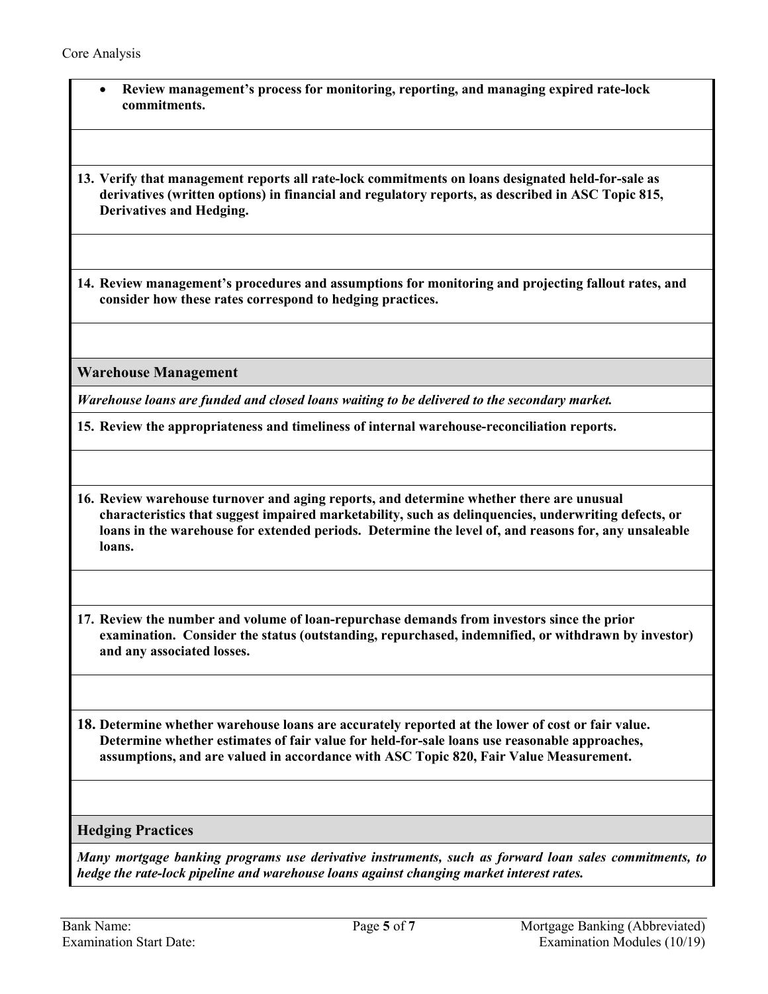<span id="page-4-0"></span>

| Review management's process for monitoring, reporting, and managing expired rate-lock<br>$\bullet$<br>commitments.                                                                                                                                                                                                 |
|--------------------------------------------------------------------------------------------------------------------------------------------------------------------------------------------------------------------------------------------------------------------------------------------------------------------|
| 13. Verify that management reports all rate-lock commitments on loans designated held-for-sale as<br>derivatives (written options) in financial and regulatory reports, as described in ASC Topic 815,<br><b>Derivatives and Hedging.</b>                                                                          |
| 14. Review management's procedures and assumptions for monitoring and projecting fallout rates, and<br>consider how these rates correspond to hedging practices.                                                                                                                                                   |
| <b>Warehouse Management</b>                                                                                                                                                                                                                                                                                        |
| Warehouse loans are funded and closed loans waiting to be delivered to the secondary market.                                                                                                                                                                                                                       |
| 15. Review the appropriateness and timeliness of internal warehouse-reconciliation reports.                                                                                                                                                                                                                        |
| 16. Review warehouse turnover and aging reports, and determine whether there are unusual<br>characteristics that suggest impaired marketability, such as delinquencies, underwriting defects, or<br>loans in the warehouse for extended periods. Determine the level of, and reasons for, any unsaleable<br>loans. |
| 17. Review the number and volume of loan-repurchase demands from investors since the prior<br>examination. Consider the status (outstanding, repurchased, indemnified, or withdrawn by investor)<br>and any associated losses.                                                                                     |
| 18. Determine whether warehouse loans are accurately reported at the lower of cost or fair value.<br>Determine whether estimates of fair value for held-for-sale loans use reasonable approaches,<br>assumptions, and are valued in accordance with ASC Topic 820, Fair Value Measurement.                         |
| <b>Hedging Practices</b>                                                                                                                                                                                                                                                                                           |
| Many mortgage banking programs use derivative instruments, such as forward loan sales commitments, to<br>hedge the rate-lock pipeline and warehouse loans against changing market interest rates.                                                                                                                  |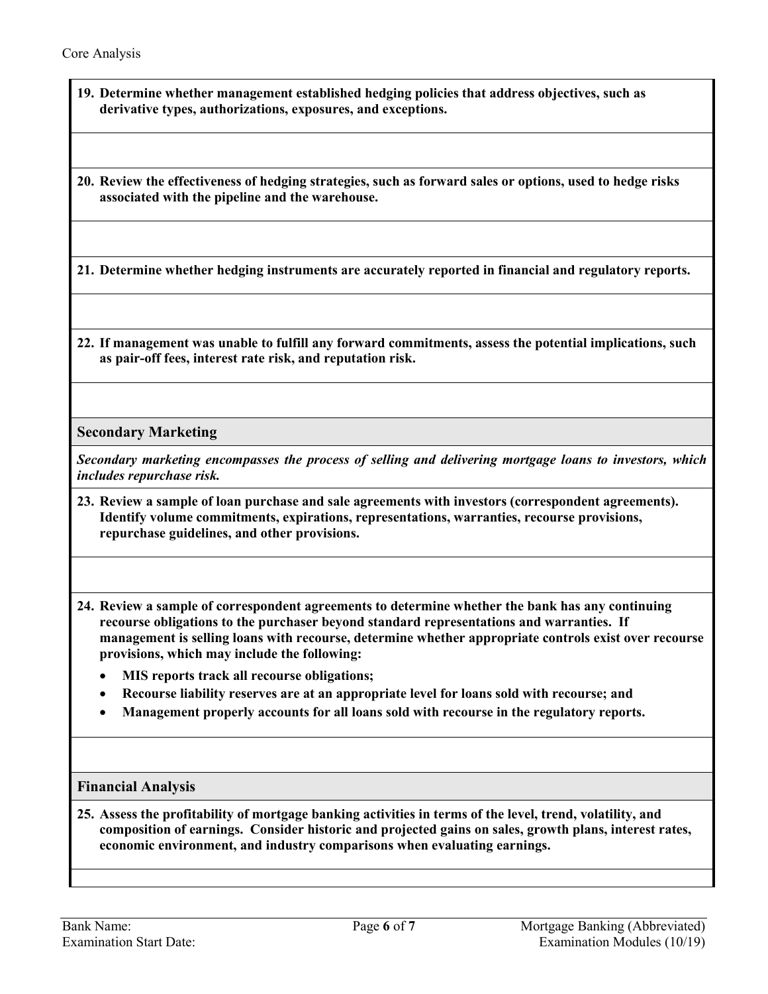<span id="page-5-0"></span>**19. Determine whether management established hedging policies that address objectives, such as derivative types, authorizations, exposures, and exceptions.**

<span id="page-5-3"></span>**20. Review the effectiveness of hedging strategies, such as forward sales or options, used to hedge risks associated with the pipeline and the warehouse.**

**21. Determine whether hedging instruments are accurately reported in financial and regulatory reports.**

<span id="page-5-2"></span>**22. If management was unable to fulfill any forward commitments, assess the potential implications, such as pair-off fees, interest rate risk, and reputation risk.**

**Secondary Marketing**

*Secondary marketing encompasses the process of selling and delivering mortgage loans to investors, which includes repurchase risk.*

- **23. Review a sample of loan purchase and sale agreements with investors (correspondent agreements). Identify volume commitments, expirations, representations, warranties, recourse provisions, repurchase guidelines, and other provisions.**
- <span id="page-5-1"></span>**24. Review a sample of correspondent agreements to determine whether the bank has any continuing recourse obligations to the purchaser beyond standard representations and warranties. If management is selling loans with recourse, determine whether appropriate controls exist over recourse provisions, which may include the following:** 
	- **MIS reports track all recourse obligations;**
	- **Recourse liability reserves are at an appropriate level for loans sold with recourse; and**
	- **Management properly accounts for all loans sold with recourse in the regulatory reports.**

## **Financial Analysis**

<span id="page-5-4"></span>**25. Assess the profitability of mortgage banking activities in terms of the level, trend, volatility, and composition of earnings. Consider historic and projected gains on sales, growth plans, interest rates, economic environment, and industry comparisons when evaluating earnings.**